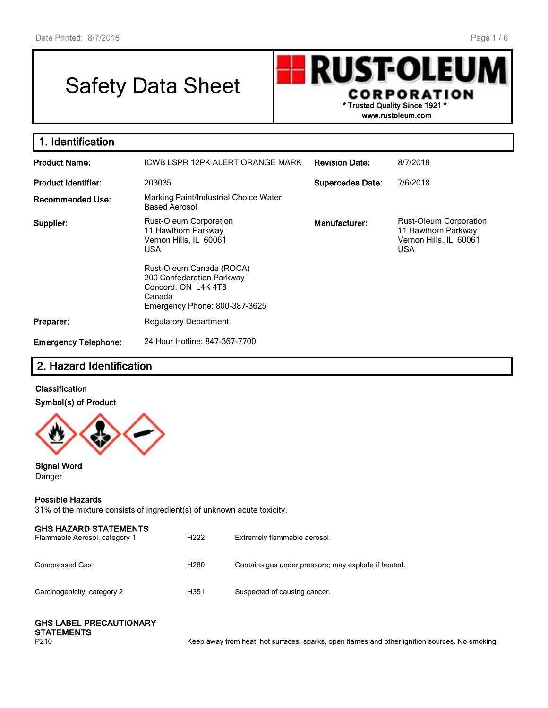# Safety Data Sheet

**RUST-OLEU CORPORATION \* Trusted Quality Since 1921 \***

**www.rustoleum.com**

| 1. Identification           |                                                                                                                        |                         |                                                                                       |
|-----------------------------|------------------------------------------------------------------------------------------------------------------------|-------------------------|---------------------------------------------------------------------------------------|
| <b>Product Name:</b>        | ICWB LSPR 12PK ALERT ORANGE MARK                                                                                       | <b>Revision Date:</b>   | 8/7/2018                                                                              |
| <b>Product Identifier:</b>  | 203035                                                                                                                 | <b>Supercedes Date:</b> | 7/6/2018                                                                              |
| <b>Recommended Use:</b>     | Marking Paint/Industrial Choice Water<br><b>Based Aerosol</b>                                                          |                         |                                                                                       |
| Supplier:                   | <b>Rust-Oleum Corporation</b><br>11 Hawthorn Parkway<br>Vernon Hills, IL 60061<br><b>USA</b>                           | Manufacturer:           | Rust-Oleum Corporation<br>11 Hawthorn Parkway<br>Vernon Hills, IL 60061<br><b>USA</b> |
|                             | Rust-Oleum Canada (ROCA)<br>200 Confederation Parkway<br>Concord, ON L4K4T8<br>Canada<br>Emergency Phone: 800-387-3625 |                         |                                                                                       |
| Preparer:                   | <b>Regulatory Department</b>                                                                                           |                         |                                                                                       |
| <b>Emergency Telephone:</b> | 24 Hour Hotline: 847-367-7700                                                                                          |                         |                                                                                       |

# **2. Hazard Identification**

### **Classification Symbol(s) of Product**



**Signal Word** Danger

#### **Possible Hazards**

31% of the mixture consists of ingredient(s) of unknown acute toxicity.

| <b>GHS HAZARD STATEMENTS</b><br>Flammable Aerosol, category 1 | H <sub>222</sub> | Extremely flammable aerosol.                        |
|---------------------------------------------------------------|------------------|-----------------------------------------------------|
| Compressed Gas                                                | H <sub>280</sub> | Contains gas under pressure; may explode if heated. |
| Carcinogenicity, category 2                                   | H351             | Suspected of causing cancer.                        |

#### **GHS LABEL PRECAUTIONARY STATEMENTS**

P210 **Keep away from heat, hot surfaces, sparks, open flames and other ignition sources. No smoking.**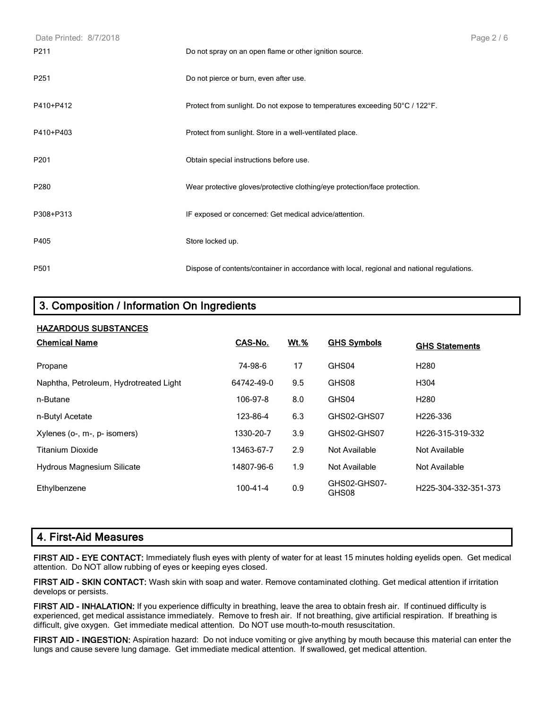| Date Printed: 8/7/2018 |                                                                                            | Page 2/6 |
|------------------------|--------------------------------------------------------------------------------------------|----------|
| P211                   | Do not spray on an open flame or other ignition source.                                    |          |
| P251                   | Do not pierce or burn, even after use.                                                     |          |
| P410+P412              | Protect from sunlight. Do not expose to temperatures exceeding 50°C / 122°F.               |          |
| P410+P403              | Protect from sunlight. Store in a well-ventilated place.                                   |          |
| P201                   | Obtain special instructions before use.                                                    |          |
| P280                   | Wear protective gloves/protective clothing/eye protection/face protection.                 |          |
| P308+P313              | IF exposed or concerned: Get medical advice/attention.                                     |          |
| P405                   | Store locked up.                                                                           |          |
| P501                   | Dispose of contents/container in accordance with local, regional and national regulations. |          |

# **3. Composition / Information On Ingredients**

| <b>HAZARDOUS SUBSTANCES</b>            |                |             |                       |                                   |
|----------------------------------------|----------------|-------------|-----------------------|-----------------------------------|
| <b>Chemical Name</b>                   | CAS-No.        | <u>Wt.%</u> | <b>GHS Symbols</b>    | <b>GHS Statements</b>             |
| Propane                                | 74-98-6        | 17          | GHS04                 | H <sub>280</sub>                  |
| Naphtha, Petroleum, Hydrotreated Light | 64742-49-0     | 9.5         | GHS08                 | H <sub>304</sub>                  |
| n-Butane                               | 106-97-8       | 8.0         | GHS04                 | H <sub>280</sub>                  |
| n-Butyl Acetate                        | 123-86-4       | 6.3         | GHS02-GHS07           | H <sub>226</sub> -336             |
| Xylenes (o-, m-, p- isomers)           | 1330-20-7      | 3.9         | GHS02-GHS07           | H226-315-319-332                  |
| Titanium Dioxide                       | 13463-67-7     | 2.9         | Not Available         | Not Available                     |
| <b>Hydrous Magnesium Silicate</b>      | 14807-96-6     | 1.9         | Not Available         | Not Available                     |
| Ethylbenzene                           | $100 - 41 - 4$ | 0.9         | GHS02-GHS07-<br>GHS08 | H <sub>225</sub> -304-332-351-373 |

# **4. First-Aid Measures**

**FIRST AID - EYE CONTACT:** Immediately flush eyes with plenty of water for at least 15 minutes holding eyelids open. Get medical attention. Do NOT allow rubbing of eyes or keeping eyes closed.

**FIRST AID - SKIN CONTACT:** Wash skin with soap and water. Remove contaminated clothing. Get medical attention if irritation develops or persists.

**FIRST AID - INHALATION:** If you experience difficulty in breathing, leave the area to obtain fresh air. If continued difficulty is experienced, get medical assistance immediately. Remove to fresh air. If not breathing, give artificial respiration. If breathing is difficult, give oxygen. Get immediate medical attention. Do NOT use mouth-to-mouth resuscitation.

**FIRST AID - INGESTION:** Aspiration hazard: Do not induce vomiting or give anything by mouth because this material can enter the lungs and cause severe lung damage. Get immediate medical attention. If swallowed, get medical attention.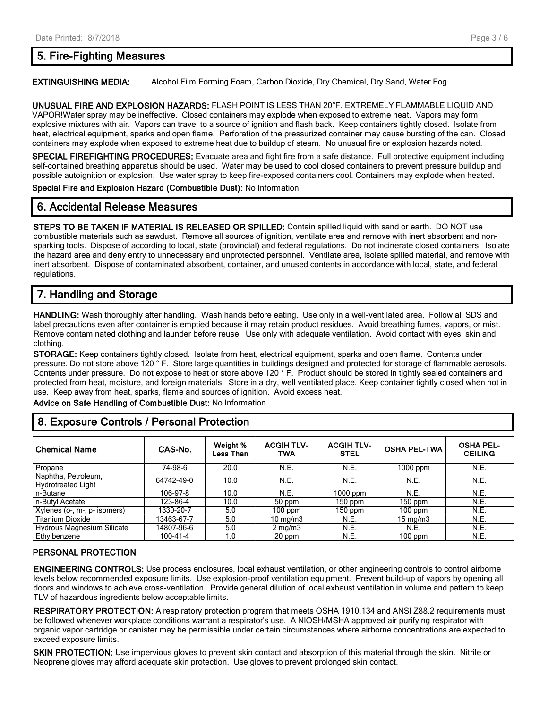## **5. Fire-Fighting Measures**

#### **EXTINGUISHING MEDIA:** Alcohol Film Forming Foam, Carbon Dioxide, Dry Chemical, Dry Sand, Water Fog

**UNUSUAL FIRE AND EXPLOSION HAZARDS:** FLASH POINT IS LESS THAN 20°F. EXTREMELY FLAMMABLE LIQUID AND VAPOR!Water spray may be ineffective. Closed containers may explode when exposed to extreme heat. Vapors may form explosive mixtures with air. Vapors can travel to a source of ignition and flash back. Keep containers tightly closed. Isolate from heat, electrical equipment, sparks and open flame. Perforation of the pressurized container may cause bursting of the can. Closed containers may explode when exposed to extreme heat due to buildup of steam. No unusual fire or explosion hazards noted.

**SPECIAL FIREFIGHTING PROCEDURES:** Evacuate area and fight fire from a safe distance. Full protective equipment including self-contained breathing apparatus should be used. Water may be used to cool closed containers to prevent pressure buildup and possible autoignition or explosion. Use water spray to keep fire-exposed containers cool. Containers may explode when heated.

**Special Fire and Explosion Hazard (Combustible Dust):** No Information

#### **6. Accidental Release Measures**

**STEPS TO BE TAKEN IF MATERIAL IS RELEASED OR SPILLED:** Contain spilled liquid with sand or earth. DO NOT use combustible materials such as sawdust. Remove all sources of ignition, ventilate area and remove with inert absorbent and nonsparking tools. Dispose of according to local, state (provincial) and federal regulations. Do not incinerate closed containers. Isolate the hazard area and deny entry to unnecessary and unprotected personnel. Ventilate area, isolate spilled material, and remove with inert absorbent. Dispose of contaminated absorbent, container, and unused contents in accordance with local, state, and federal regulations.

# **7. Handling and Storage**

**HANDLING:** Wash thoroughly after handling. Wash hands before eating. Use only in a well-ventilated area. Follow all SDS and label precautions even after container is emptied because it may retain product residues. Avoid breathing fumes, vapors, or mist. Remove contaminated clothing and launder before reuse. Use only with adequate ventilation. Avoid contact with eyes, skin and clothing.

**STORAGE:** Keep containers tightly closed. Isolate from heat, electrical equipment, sparks and open flame. Contents under pressure. Do not store above 120 ° F. Store large quantities in buildings designed and protected for storage of flammable aerosols. Contents under pressure. Do not expose to heat or store above 120 ° F. Product should be stored in tightly sealed containers and protected from heat, moisture, and foreign materials. Store in a dry, well ventilated place. Keep container tightly closed when not in use. Keep away from heat, sparks, flame and sources of ignition. Avoid excess heat.

**Advice on Safe Handling of Combustible Dust:** No Information

# **8. Exposure Controls / Personal Protection**

| <b>Chemical Name</b>                             | CAS-No.    | Weight %<br><b>Less Than</b> | <b>ACGIH TLV-</b><br><b>TWA</b> | <b>ACGIH TLV-</b><br><b>STEL</b> | <b>OSHA PEL-TWA</b> | <b>OSHA PEL-</b><br><b>CEILING</b> |
|--------------------------------------------------|------------|------------------------------|---------------------------------|----------------------------------|---------------------|------------------------------------|
| Propane                                          | 74-98-6    | 20.0                         | N.E.                            | N.E.                             | $1000$ ppm          | N.E.                               |
| Naphtha, Petroleum,<br><b>Hydrotreated Light</b> | 64742-49-0 | 10.0                         | N.E.                            | N.E.                             | N.E.                | N.E.                               |
| n-Butane                                         | 106-97-8   | 10.0                         | N.E.                            | 1000 ppm                         | N.E.                | N.E.                               |
| n-Butvl Acetate                                  | 123-86-4   | 10.0                         | 50 ppm                          | $150$ ppm                        | $150$ ppm           | N.E.                               |
| Xylenes (o-, m-, p- isomers)                     | 1330-20-7  | 5.0                          | $100$ ppm                       | 150 ppm                          | $100$ ppm           | N.E.                               |
| <b>Titanium Dioxide</b>                          | 13463-67-7 | 5.0                          | $10 \text{ mg/m}$               | N.E.                             | $15 \text{ mg/m}$   | N.E.                               |
| Hydrous Magnesium Silicate                       | 14807-96-6 | 5.0                          | $2 \text{ mg/m}$                | N.E.                             | N.E.                | N.E.                               |
| Ethylbenzene                                     | 100-41-4   | 1.0                          | 20 ppm                          | N.E.                             | $100$ ppm           | N.E.                               |

#### **PERSONAL PROTECTION**

**ENGINEERING CONTROLS:** Use process enclosures, local exhaust ventilation, or other engineering controls to control airborne levels below recommended exposure limits. Use explosion-proof ventilation equipment. Prevent build-up of vapors by opening all doors and windows to achieve cross-ventilation. Provide general dilution of local exhaust ventilation in volume and pattern to keep TLV of hazardous ingredients below acceptable limits.

**RESPIRATORY PROTECTION:** A respiratory protection program that meets OSHA 1910.134 and ANSI Z88.2 requirements must be followed whenever workplace conditions warrant a respirator's use. A NIOSH/MSHA approved air purifying respirator with organic vapor cartridge or canister may be permissible under certain circumstances where airborne concentrations are expected to exceed exposure limits.

**SKIN PROTECTION:** Use impervious gloves to prevent skin contact and absorption of this material through the skin. Nitrile or Neoprene gloves may afford adequate skin protection. Use gloves to prevent prolonged skin contact.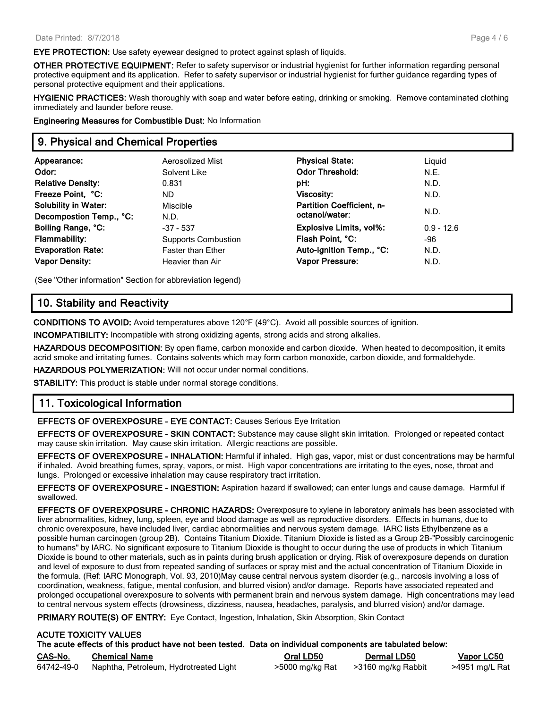**EYE PROTECTION:** Use safety eyewear designed to protect against splash of liquids.

**OTHER PROTECTIVE EQUIPMENT:** Refer to safety supervisor or industrial hygienist for further information regarding personal protective equipment and its application. Refer to safety supervisor or industrial hygienist for further guidance regarding types of personal protective equipment and their applications.

**HYGIENIC PRACTICES:** Wash thoroughly with soap and water before eating, drinking or smoking. Remove contaminated clothing immediately and launder before reuse.

**Engineering Measures for Combustible Dust:** No Information

### **9. Physical and Chemical Properties**

| Appearance:                 | Aerosolized Mist           | <b>Physical State:</b>           | Liquid       |
|-----------------------------|----------------------------|----------------------------------|--------------|
| Odor:                       | Solvent Like               | <b>Odor Threshold:</b>           | N.E.         |
| <b>Relative Density:</b>    | 0.831                      | pH:                              | N.D.         |
| Freeze Point, °C:           | ND.                        | <b>Viscosity:</b>                | N.D.         |
| <b>Solubility in Water:</b> | Miscible                   | <b>Partition Coefficient, n-</b> | N.D.         |
| Decompostion Temp., °C:     | N.D.                       | octanol/water:                   |              |
| Boiling Range, °C:          | $-37 - 537$                | <b>Explosive Limits, vol%:</b>   | $0.9 - 12.6$ |
| <b>Flammability:</b>        | <b>Supports Combustion</b> | Flash Point, °C:                 | -96          |
| <b>Evaporation Rate:</b>    | Faster than Ether          | Auto-ignition Temp., °C:         | N.D.         |
| <b>Vapor Density:</b>       | Heavier than Air           | <b>Vapor Pressure:</b>           | N.D.         |
|                             |                            |                                  |              |

(See "Other information" Section for abbreviation legend)

#### **10. Stability and Reactivity**

**CONDITIONS TO AVOID:** Avoid temperatures above 120°F (49°C). Avoid all possible sources of ignition.

**INCOMPATIBILITY:** Incompatible with strong oxidizing agents, strong acids and strong alkalies.

**HAZARDOUS DECOMPOSITION:** By open flame, carbon monoxide and carbon dioxide. When heated to decomposition, it emits acrid smoke and irritating fumes. Contains solvents which may form carbon monoxide, carbon dioxide, and formaldehyde.

**HAZARDOUS POLYMERIZATION:** Will not occur under normal conditions.

**STABILITY:** This product is stable under normal storage conditions.

#### **11. Toxicological Information**

**EFFECTS OF OVEREXPOSURE - EYE CONTACT:** Causes Serious Eye Irritation

**EFFECTS OF OVEREXPOSURE - SKIN CONTACT:** Substance may cause slight skin irritation. Prolonged or repeated contact may cause skin irritation. May cause skin irritation. Allergic reactions are possible.

**EFFECTS OF OVEREXPOSURE - INHALATION:** Harmful if inhaled. High gas, vapor, mist or dust concentrations may be harmful if inhaled. Avoid breathing fumes, spray, vapors, or mist. High vapor concentrations are irritating to the eyes, nose, throat and lungs. Prolonged or excessive inhalation may cause respiratory tract irritation.

**EFFECTS OF OVEREXPOSURE - INGESTION:** Aspiration hazard if swallowed; can enter lungs and cause damage. Harmful if swallowed.

**EFFECTS OF OVEREXPOSURE - CHRONIC HAZARDS:** Overexposure to xylene in laboratory animals has been associated with liver abnormalities, kidney, lung, spleen, eye and blood damage as well as reproductive disorders. Effects in humans, due to chronic overexposure, have included liver, cardiac abnormalities and nervous system damage. IARC lists Ethylbenzene as a possible human carcinogen (group 2B). Contains Titanium Dioxide. Titanium Dioxide is listed as a Group 2B-"Possibly carcinogenic to humans" by IARC. No significant exposure to Titanium Dioxide is thought to occur during the use of products in which Titanium Dioxide is bound to other materials, such as in paints during brush application or drying. Risk of overexposure depends on duration and level of exposure to dust from repeated sanding of surfaces or spray mist and the actual concentration of Titanium Dioxide in the formula. (Ref: IARC Monograph, Vol. 93, 2010)May cause central nervous system disorder (e.g., narcosis involving a loss of coordination, weakness, fatigue, mental confusion, and blurred vision) and/or damage. Reports have associated repeated and prolonged occupational overexposure to solvents with permanent brain and nervous system damage. High concentrations may lead to central nervous system effects (drowsiness, dizziness, nausea, headaches, paralysis, and blurred vision) and/or damage.

**PRIMARY ROUTE(S) OF ENTRY:** Eye Contact, Ingestion, Inhalation, Skin Absorption, Skin Contact

#### **ACUTE TOXICITY VALUES The acute effects of this product have not been tested. Data on individual components are tabulated below:**

| CAS-No.    | <b>Chemical Name</b>                   | Oral LD50       | <b>Dermal LD50</b> | <u>Vapor LC50</u> |
|------------|----------------------------------------|-----------------|--------------------|-------------------|
| 64742-49-0 | Naphtha, Petroleum, Hydrotreated Light | >5000 mg/kg Rat | >3160 mg/kg Rabbit | >4951 mg/L Rat    |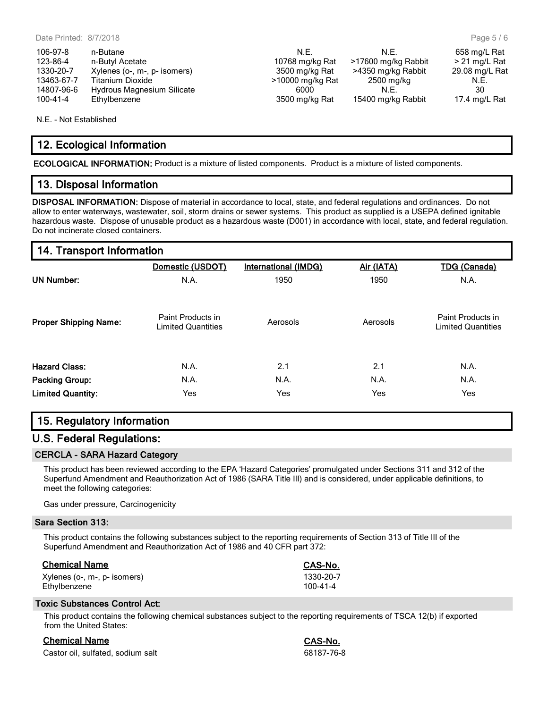| 106-97-8   | n-Butane                     | N.F.             | N.F.                | 658 mg/L Rat  |
|------------|------------------------------|------------------|---------------------|---------------|
| 123-86-4   | n-Butyl Acetate              | 10768 mg/kg Rat  | >17600 mg/kg Rabbit | > 21 mg/L Ra  |
| 1330-20-7  | Xylenes (o-, m-, p- isomers) | 3500 mg/kg Rat   | >4350 mg/kg Rabbit  | 29.08 mg/L Ra |
| 13463-67-7 | Titanium Dioxide             | >10000 mg/kg Rat | 2500 mg/kg          | N.E.          |
| 14807-96-6 | Hydrous Magnesium Silicate   | 6000             | N.E.                | 30            |
| 100-41-4   | Ethylbenzene                 | 3500 mg/kg Rat   | 15400 mg/kg Rabbit  | 17.4 mg/L Ra  |

N.E. - Not Established

## **12. Ecological Information**

**ECOLOGICAL INFORMATION:** Product is a mixture of listed components. Product is a mixture of listed components.

#### **13. Disposal Information**

**DISPOSAL INFORMATION:** Dispose of material in accordance to local, state, and federal regulations and ordinances. Do not allow to enter waterways, wastewater, soil, storm drains or sewer systems. This product as supplied is a USEPA defined ignitable hazardous waste. Dispose of unusable product as a hazardous waste (D001) in accordance with local, state, and federal regulation. Do not incinerate closed containers.

## **14. Transport Information**

|                              | Domestic (USDOT)                               | International (IMDG) | Air (IATA) | <b>TDG (Canada)</b>                            |
|------------------------------|------------------------------------------------|----------------------|------------|------------------------------------------------|
| <b>UN Number:</b>            | N.A.                                           | 1950                 | 1950       | N.A.                                           |
| <b>Proper Shipping Name:</b> | Paint Products in<br><b>Limited Quantities</b> | Aerosols             | Aerosols   | Paint Products in<br><b>Limited Quantities</b> |
| <b>Hazard Class:</b>         | N.A.                                           | 2.1                  | 2.1        | N.A.                                           |
| <b>Packing Group:</b>        | N.A.                                           | N.A.                 | N.A.       | N.A.                                           |
| <b>Limited Quantity:</b>     | Yes                                            | Yes                  | Yes        | <b>Yes</b>                                     |

# **15. Regulatory Information**

#### **U.S. Federal Regulations:**

#### **CERCLA - SARA Hazard Category**

This product has been reviewed according to the EPA 'Hazard Categories' promulgated under Sections 311 and 312 of the Superfund Amendment and Reauthorization Act of 1986 (SARA Title III) and is considered, under applicable definitions, to meet the following categories:

Gas under pressure, Carcinogenicity

#### **Sara Section 313:**

This product contains the following substances subject to the reporting requirements of Section 313 of Title III of the Superfund Amendment and Reauthorization Act of 1986 and 40 CFR part 372:

| <b>Chemical Name</b> |
|----------------------|
|----------------------|

| Chemical Name                | CAS-No.        |
|------------------------------|----------------|
| Xylenes (o-, m-, p- isomers) | 1330-20-7      |
| Ethylbenzene                 | $100 - 41 - 4$ |

#### **Toxic Substances Control Act:**

This product contains the following chemical substances subject to the reporting requirements of TSCA 12(b) if exported from the United States:

## **Chemical Name CAS-No...**

| Castor oil, sulfated, sodium salt | 68187-76-8 |
|-----------------------------------|------------|
|-----------------------------------|------------|

| n<br>$\rightarrow$<br>NI<br>c |   |
|-------------------------------|---|
| $.87 -$<br>-8.                | ι |